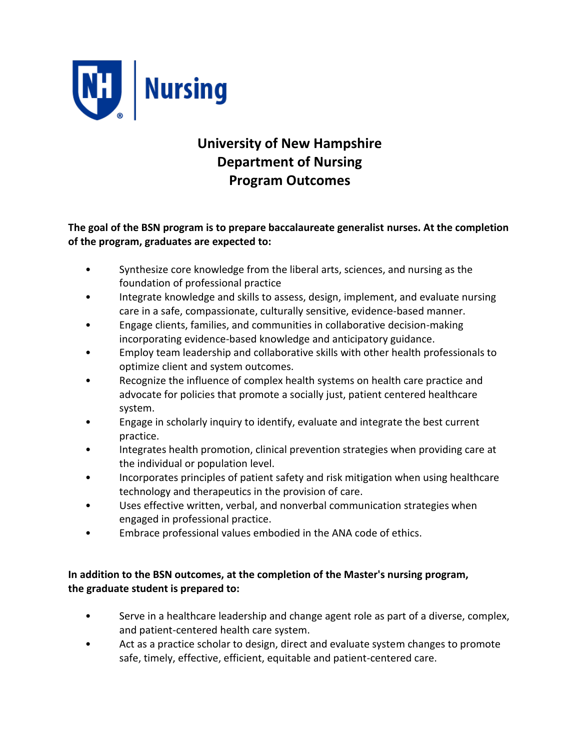

# **University of New Hampshire Department of Nursing Program Outcomes**

**The goal of the BSN program is to prepare baccalaureate generalist nurses. At the completion of the program, graduates are expected to:**

- Synthesize core knowledge from the liberal arts, sciences, and nursing as the foundation of professional practice
- Integrate knowledge and skills to assess, design, implement, and evaluate nursing care in a safe, compassionate, culturally sensitive, evidence-based manner.
- Engage clients, families, and communities in collaborative decision-making incorporating evidence-based knowledge and anticipatory guidance.
- Employ team leadership and collaborative skills with other health professionals to optimize client and system outcomes.
- Recognize the influence of complex health systems on health care practice and advocate for policies that promote a socially just, patient centered healthcare system.
- Engage in scholarly inquiry to identify, evaluate and integrate the best current practice.
- Integrates health promotion, clinical prevention strategies when providing care at the individual or population level.
- Incorporates principles of patient safety and risk mitigation when using healthcare technology and therapeutics in the provision of care.
- Uses effective written, verbal, and nonverbal communication strategies when engaged in professional practice.
- Embrace professional values embodied in the ANA code of ethics.

# **In addition to the BSN outcomes, at the completion of the Master's nursing program, the graduate student is prepared to:**

- Serve in a healthcare leadership and change agent role as part of a diverse, complex, and patient-centered health care system.
- Act as a practice scholar to design, direct and evaluate system changes to promote safe, timely, effective, efficient, equitable and patient-centered care.